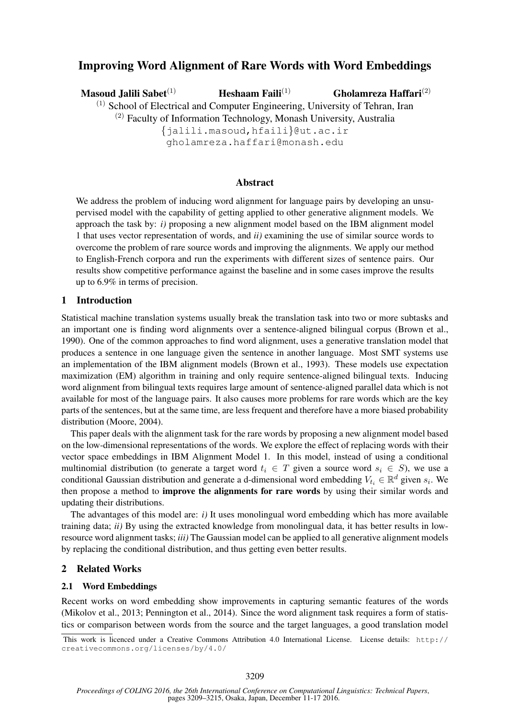# Improving Word Alignment of Rare Words with Word Embeddings

Masoud Jalili Sabet $(1)$  Heshaam Faili $(1)$ 

Gholamreza Haffari(2)

 $<sup>(1)</sup>$  School of Electrical and Computer Engineering, University of Tehran, Iran</sup> (2) Faculty of Information Technology, Monash University, Australia

{jalili.masoud,hfaili}@ut.ac.ir

gholamreza.haffari@monash.edu

# Abstract

We address the problem of inducing word alignment for language pairs by developing an unsupervised model with the capability of getting applied to other generative alignment models. We approach the task by: *i)* proposing a new alignment model based on the IBM alignment model 1 that uses vector representation of words, and *ii)* examining the use of similar source words to overcome the problem of rare source words and improving the alignments. We apply our method to English-French corpora and run the experiments with different sizes of sentence pairs. Our results show competitive performance against the baseline and in some cases improve the results up to 6.9% in terms of precision.

### 1 Introduction

Statistical machine translation systems usually break the translation task into two or more subtasks and an important one is finding word alignments over a sentence-aligned bilingual corpus (Brown et al., 1990). One of the common approaches to find word alignment, uses a generative translation model that produces a sentence in one language given the sentence in another language. Most SMT systems use an implementation of the IBM alignment models (Brown et al., 1993). These models use expectation maximization (EM) algorithm in training and only require sentence-aligned bilingual texts. Inducing word alignment from bilingual texts requires large amount of sentence-aligned parallel data which is not available for most of the language pairs. It also causes more problems for rare words which are the key parts of the sentences, but at the same time, are less frequent and therefore have a more biased probability distribution (Moore, 2004).

This paper deals with the alignment task for the rare words by proposing a new alignment model based on the low-dimensional representations of the words. We explore the effect of replacing words with their vector space embeddings in IBM Alignment Model 1. In this model, instead of using a conditional multinomial distribution (to generate a target word  $t_i \in T$  given a source word  $s_i \in S$ ), we use a conditional Gaussian distribution and generate a d-dimensional word embedding  $V_{t_i} \in \mathbb{R}^d$  given  $s_i$ . We then propose a method to improve the alignments for rare words by using their similar words and updating their distributions.

The advantages of this model are: *i)* It uses monolingual word embedding which has more available training data; *ii)* By using the extracted knowledge from monolingual data, it has better results in lowresource word alignment tasks; *iii)* The Gaussian model can be applied to all generative alignment models by replacing the conditional distribution, and thus getting even better results.

# 2 Related Works

### 2.1 Word Embeddings

Recent works on word embedding show improvements in capturing semantic features of the words (Mikolov et al., 2013; Pennington et al., 2014). Since the word alignment task requires a form of statistics or comparison between words from the source and the target languages, a good translation model

This work is licenced under a Creative Commons Attribution 4.0 International License. License details: http:// creativecommons.org/licenses/by/4.0/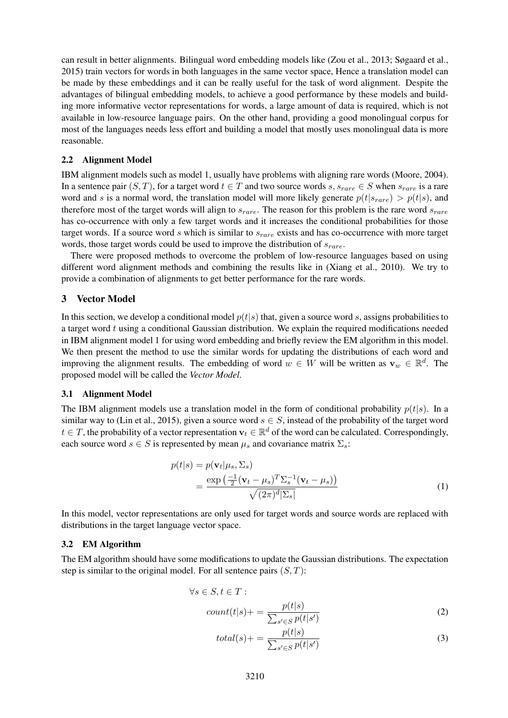can result in better alignments. Bilingual word embedding models like (Zou et al., 2013; Søgaard et al., 2015) train vectors for words in both languages in the same vector space, Hence a translation model can be made by these embeddings and it can be really useful for the task of word alignment. Despite the advantages of bilingual embedding models, to achieve a good performance by these models and building more informative vector representations for words, a large amount of data is required, which is not available in low-resource language pairs. On the other hand, providing a good monolingual corpus for most of the languages needs less effort and building a model that mostly uses monolingual data is more reasonable.

#### 2.2 Alignment Model

IBM alignment models such as model 1, usually have problems with aligning rare words (Moore, 2004). In a sentence pair  $(S, T)$ , for a target word  $t \in T$  and two source words  $s, s_{rare} \in S$  when  $s_{rare}$  is a rare word and s is a normal word, the translation model will more likely generate  $p(t|s_{rare}) > p(t|s)$ , and therefore most of the target words will align to  $s_{rare}$ . The reason for this problem is the rare word  $s_{rare}$ has co-occurrence with only a few target words and it increases the conditional probabilities for those target words. If a source word  $s$  which is similar to  $s_{rare}$  exists and has co-occurrence with more target words, those target words could be used to improve the distribution of  $s_{rare}$ .

There were proposed methods to overcome the problem of low-resource languages based on using different word alignment methods and combining the results like in (Xiang et al., 2010). We try to provide a combination of alignments to get better performance for the rare words.

### 3 Vector Model

In this section, we develop a conditional model  $p(t|s)$  that, given a source word s, assigns probabilities to a target word  $t$  using a conditional Gaussian distribution. We explain the required modifications needed in IBM alignment model 1 for using word embedding and briefly review the EM algorithm in this model. We then present the method to use the similar words for updating the distributions of each word and improving the alignment results. The embedding of word  $w \in W$  will be written as  $\mathbf{v}_w \in \mathbb{R}^d$ . The proposed model will be called the *Vector Model*.

#### 3.1 Alignment Model

The IBM alignment models use a translation model in the form of conditional probability  $p(t|s)$ . In a similar way to (Lin et al., 2015), given a source word  $s \in S$ , instead of the probability of the target word  $t \in T$ , the probability of a vector representation  $\mathbf{v}_t \in \mathbb{R}^d$  of the word can be calculated. Correspondingly, each source word  $s \in S$  is represented by mean  $\mu_s$  and covariance matrix  $\Sigma_s$ :

$$
p(t|s) = p(\mathbf{v}_t|\mu_s, \Sigma_s)
$$
  
= 
$$
\frac{\exp\left(\frac{-1}{2}(\mathbf{v}_t - \mu_s)^T \Sigma_s^{-1} (\mathbf{v}_t - \mu_s)\right)}{\sqrt{(2\pi)^d |\Sigma_s|}}
$$
(1)

In this model, vector representations are only used for target words and source words are replaced with distributions in the target language vector space.

### 3.2 EM Algorithm

The EM algorithm should have some modifications to update the Gaussian distributions. The expectation step is similar to the original model. For all sentence pairs  $(S, T)$ :

$$
\forall s \in S, t \in T:
$$
  
count(t|s) + = 
$$
\frac{p(t|s)}{\sum_{s' \in S} p(t|s')}
$$
 (2)

$$
total(s) += \frac{p(t|s)}{\sum_{s' \in S} p(t|s')}
$$
\n(3)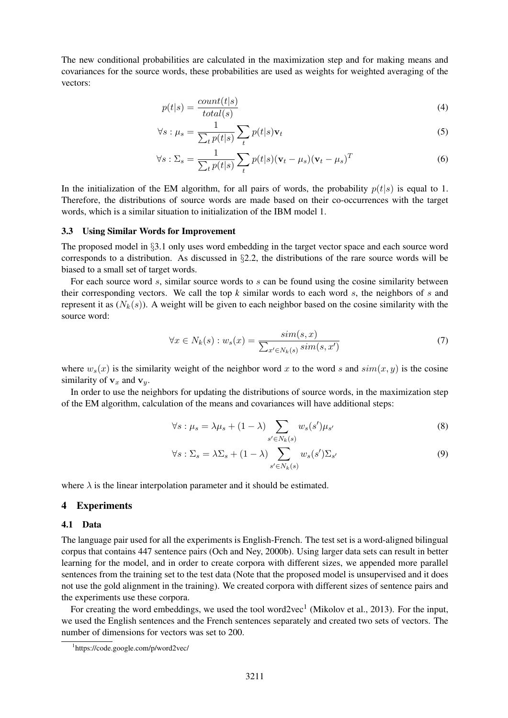The new conditional probabilities are calculated in the maximization step and for making means and covariances for the source words, these probabilities are used as weights for weighted averaging of the vectors:

$$
p(t|s) = \frac{count(t|s)}{total(s)}\tag{4}
$$

$$
\forall s : \mu_s = \frac{1}{\sum_t p(t|s)} \sum_t p(t|s) \mathbf{v}_t \tag{5}
$$

$$
\forall s: \Sigma_s = \frac{1}{\sum_t p(t|s)} \sum_t p(t|s) (\mathbf{v}_t - \mu_s) (\mathbf{v}_t - \mu_s)^T
$$
(6)

In the initialization of the EM algorithm, for all pairs of words, the probability  $p(t|s)$  is equal to 1. Therefore, the distributions of source words are made based on their co-occurrences with the target words, which is a similar situation to initialization of the IBM model 1.

### 3.3 Using Similar Words for Improvement

The proposed model in §3.1 only uses word embedding in the target vector space and each source word corresponds to a distribution. As discussed in §2.2, the distributions of the rare source words will be biased to a small set of target words.

For each source word  $s$ , similar source words to  $s$  can be found using the cosine similarity between their corresponding vectors. We call the top *k* similar words to each word s, the neighbors of s and represent it as  $(N_k(s))$ . A weight will be given to each neighbor based on the cosine similarity with the source word:

$$
\forall x \in N_k(s) : w_s(x) = \frac{\operatorname{sim}(s, x)}{\sum_{x' \in N_k(s)} \operatorname{sim}(s, x')} \tag{7}
$$

where  $w_s(x)$  is the similarity weight of the neighbor word x to the word s and  $sim(x, y)$  is the cosine similarity of  $v_x$  and  $v_y$ .

In order to use the neighbors for updating the distributions of source words, in the maximization step of the EM algorithm, calculation of the means and covariances will have additional steps:

$$
\forall s: \mu_s = \lambda \mu_s + (1 - \lambda) \sum_{s' \in N_k(s)} w_s(s') \mu_{s'} \tag{8}
$$

$$
\forall s: \Sigma_s = \lambda \Sigma_s + (1 - \lambda) \sum_{s' \in N_k(s)} w_s(s') \Sigma_{s'} \tag{9}
$$

where  $\lambda$  is the linear interpolation parameter and it should be estimated.

#### 4 Experiments

#### 4.1 Data

The language pair used for all the experiments is English-French. The test set is a word-aligned bilingual corpus that contains 447 sentence pairs (Och and Ney, 2000b). Using larger data sets can result in better learning for the model, and in order to create corpora with different sizes, we appended more parallel sentences from the training set to the test data (Note that the proposed model is unsupervised and it does not use the gold alignment in the training). We created corpora with different sizes of sentence pairs and the experiments use these corpora.

For creating the word embeddings, we used the tool word2vec<sup>1</sup> (Mikolov et al., 2013). For the input, we used the English sentences and the French sentences separately and created two sets of vectors. The number of dimensions for vectors was set to 200.

<sup>1</sup> https://code.google.com/p/word2vec/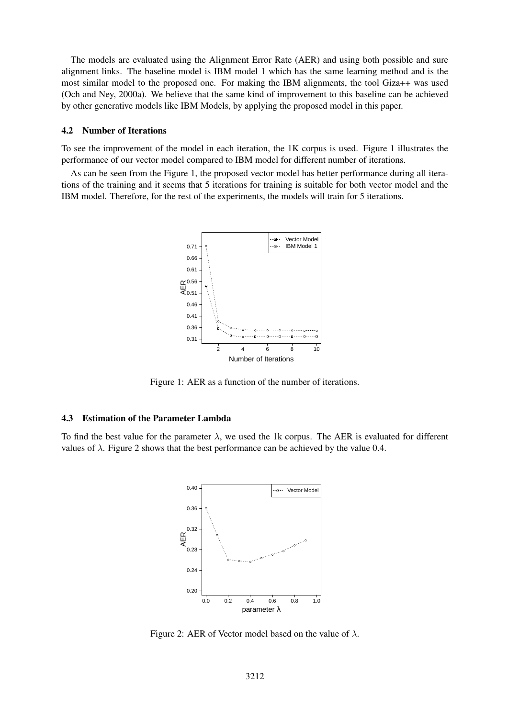The models are evaluated using the Alignment Error Rate (AER) and using both possible and sure alignment links. The baseline model is IBM model 1 which has the same learning method and is the most similar model to the proposed one. For making the IBM alignments, the tool Giza++ was used (Och and Ney, 2000a). We believe that the same kind of improvement to this baseline can be achieved by other generative models like IBM Models, by applying the proposed model in this paper.

#### 4.2 Number of Iterations

To see the improvement of the model in each iteration, the 1K corpus is used. Figure 1 illustrates the performance of our vector model compared to IBM model for different number of iterations.

As can be seen from the Figure 1, the proposed vector model has better performance during all iterations of the training and it seems that 5 iterations for training is suitable for both vector model and the IBM model. Therefore, for the rest of the experiments, the models will train for 5 iterations.



Figure 1: AER as a function of the number of iterations.

#### 4.3 Estimation of the Parameter Lambda

To find the best value for the parameter  $\lambda$ , we used the 1k corpus. The AER is evaluated for different values of  $\lambda$ . Figure 2 shows that the best performance can be achieved by the value 0.4.



Figure 2: AER of Vector model based on the value of  $\lambda$ .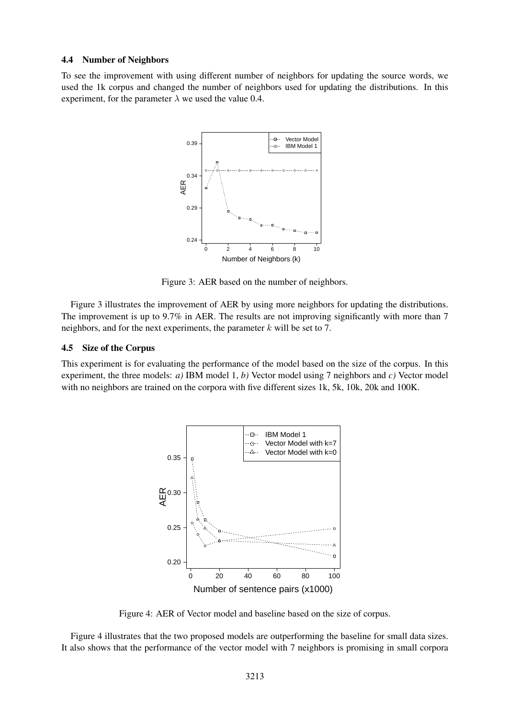#### 4.4 Number of Neighbors

To see the improvement with using different number of neighbors for updating the source words, we used the 1k corpus and changed the number of neighbors used for updating the distributions. In this experiment, for the parameter  $\lambda$  we used the value 0.4.



Figure 3: AER based on the number of neighbors.

Figure 3 illustrates the improvement of AER by using more neighbors for updating the distributions. The improvement is up to 9.7% in AER. The results are not improving significantly with more than 7 neighbors, and for the next experiments, the parameter  $k$  will be set to 7.

#### 4.5 Size of the Corpus

This experiment is for evaluating the performance of the model based on the size of the corpus. In this experiment, the three models: *a)* IBM model 1, *b)* Vector model using 7 neighbors and *c)* Vector model with no neighbors are trained on the corpora with five different sizes 1k, 5k, 10k, 20k and 100K.



Figure 4: AER of Vector model and baseline based on the size of corpus.

Figure 4 illustrates that the two proposed models are outperforming the baseline for small data sizes. It also shows that the performance of the vector model with 7 neighbors is promising in small corpora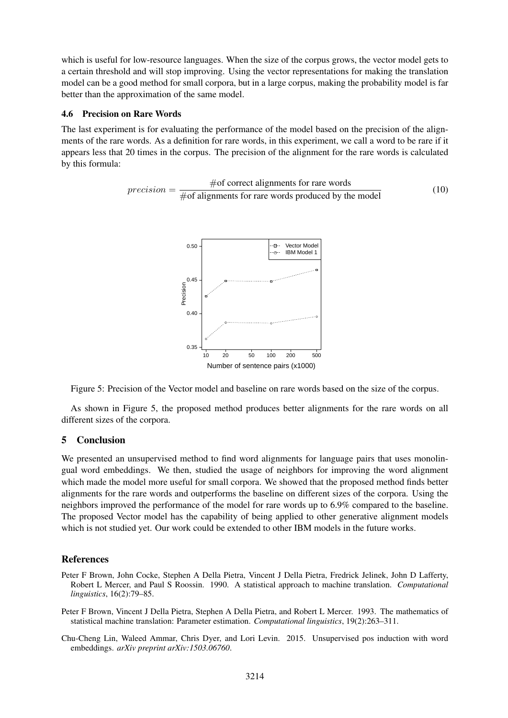which is useful for low-resource languages. When the size of the corpus grows, the vector model gets to a certain threshold and will stop improving. Using the vector representations for making the translation model can be a good method for small corpora, but in a large corpus, making the probability model is far better than the approximation of the same model.

### 4.6 Precision on Rare Words

The last experiment is for evaluating the performance of the model based on the precision of the alignments of the rare words. As a definition for rare words, in this experiment, we call a word to be rare if it appears less that 20 times in the corpus. The precision of the alignment for the rare words is calculated by this formula:

$$
precision = \frac{\text{\#of correct alignments for rare words}}{\text{\#of alignments for rare words produced by the model}}
$$
(10)



Figure 5: Precision of the Vector model and baseline on rare words based on the size of the corpus.

As shown in Figure 5, the proposed method produces better alignments for the rare words on all different sizes of the corpora.

# 5 Conclusion

We presented an unsupervised method to find word alignments for language pairs that uses monolingual word embeddings. We then, studied the usage of neighbors for improving the word alignment which made the model more useful for small corpora. We showed that the proposed method finds better alignments for the rare words and outperforms the baseline on different sizes of the corpora. Using the neighbors improved the performance of the model for rare words up to 6.9% compared to the baseline. The proposed Vector model has the capability of being applied to other generative alignment models which is not studied yet. Our work could be extended to other IBM models in the future works.

# References

- Peter F Brown, John Cocke, Stephen A Della Pietra, Vincent J Della Pietra, Fredrick Jelinek, John D Lafferty, Robert L Mercer, and Paul S Roossin. 1990. A statistical approach to machine translation. *Computational linguistics*, 16(2):79–85.
- Peter F Brown, Vincent J Della Pietra, Stephen A Della Pietra, and Robert L Mercer. 1993. The mathematics of statistical machine translation: Parameter estimation. *Computational linguistics*, 19(2):263–311.
- Chu-Cheng Lin, Waleed Ammar, Chris Dyer, and Lori Levin. 2015. Unsupervised pos induction with word embeddings. *arXiv preprint arXiv:1503.06760*.